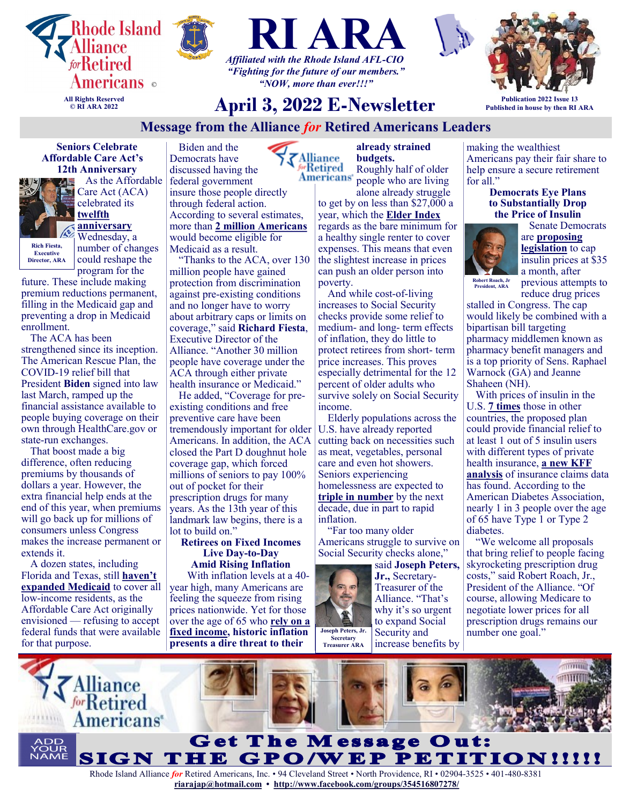





*"Fighting for the future of our members." "NOW, more than ever!!!"*

# **April 3, 2022 E-Newsletter**

**Publication 2022 Issue 13 Published in house by then RI ARA**

# **Message from the Alliance** *for* **Retired Americans Leaders**

**Seniors Celebrate Affordable Care Act's 12th Anniversary**



 As the Affordable Care Act (ACA) celebrated its **[twelfth](https://u1584542.ct.sendgrid.net/ss/c/atcYNHk4Eh2YdGnwBh-YDMFtjoYduL1DUlcCFDClUn4vOJb4wD1fICOvxmrd56SUPEBu-emdfrLkOEswTONdEymZnPMg0LO2C64274TNZAl5Iead8Zng8nVlcdKxX1rVXyHpDdW17ikSPe_p7GXWvkWddcc6ybUynCW92oHxp0wGzJEZ355WpNNxbFeUUJbEKZRwvv3DlunUgB7cP4rw6GJDHa8_8)  [anniversary](https://u1584542.ct.sendgrid.net/ss/c/atcYNHk4Eh2YdGnwBh-YDMFtjoYduL1DUlcCFDClUn4vOJb4wD1fICOvxmrd56SUPEBu-emdfrLkOEswTONdEymZnPMg0LO2C64274TNZAl5Iead8Zng8nVlcdKxX1rVXyHpDdW17ikSPe_p7GXWvkWddcc6ybUynCW92oHxp0wGzJEZ355WpNNxbFeUUJbEKZRwvv3DlunUgB7cP4rw6GJDHa8_8)** Wednesday, a

**Executive Director, ARA**

number of changes could reshape the program for the

future. These include making premium reductions permanent, filling in the Medicaid gap and preventing a drop in Medicaid enrollment.

The ACA has been strengthened since its inception. The American Rescue Plan, the COVID-19 relief bill that President **Biden** signed into law last March, ramped up the financial assistance available to people buying coverage on their own through HealthCare.gov or state-run exchanges.

That boost made a big difference, often reducing premiums by thousands of dollars a year. However, the extra financial help ends at the end of this year, when premiums will go back up for millions of consumers unless Congress makes the increase permanent or extends it.

A dozen states, including Florida and Texas, still **[haven't](https://u1584542.ct.sendgrid.net/ss/c/atcYNHk4Eh2YdGnwBh-YDPvn3hEe9INeEKChwzt2WN7_cfNvS4Wd_WUVuxPAysZ8Ka2VgCMikxsfK6VuFKCo5coufgfERw3KCjFO-iQqXCtW_CIKQTNFfPBXijNOGqRGc_X83foT51fxWXP8lL9acSd6iRkDAMATw-axCtK9I0KszR21QAH8nqoGDIv8V6PO4_rkZ15QSFJmoGlwyMUNuMuwRbCYr)  [expanded Medicaid](https://u1584542.ct.sendgrid.net/ss/c/atcYNHk4Eh2YdGnwBh-YDPvn3hEe9INeEKChwzt2WN7_cfNvS4Wd_WUVuxPAysZ8Ka2VgCMikxsfK6VuFKCo5coufgfERw3KCjFO-iQqXCtW_CIKQTNFfPBXijNOGqRGc_X83foT51fxWXP8lL9acSd6iRkDAMATw-axCtK9I0KszR21QAH8nqoGDIv8V6PO4_rkZ15QSFJmoGlwyMUNuMuwRbCYr)** to cover all low-income residents, as the Affordable Care Act originally envisioned — refusing to accept federal funds that were available for that purpose.

Biden and the Democrats have Alliance discussed having the federal government insure those people directly through federal action. According to several estimates, more than **[2 million Americans](https://u1584542.ct.sendgrid.net/ss/c/atcYNHk4Eh2YdGnwBh-YDMFtjoYduL1DUlcCFDClUn7616nhbI9cb765YJPJJdBvMfdN052smEQnUIkm0A8GZlWL1lK-GvZEIbd8r58iWb4Glg_iYYsvnhooiX-M3x2N2RbIUTZQZlSTnwGtOE-opLfZAgQUC4iuxe0574XXYHfXx-6zBfxOd6JwaOUR-LEFQypAnmkTeJaWJuZs16rkayiDhHZy1)** would become eligible for Medicaid as a result.

"Thanks to the ACA, over 130 million people have gained protection from discrimination against pre-existing conditions and no longer have to worry about arbitrary caps or limits on coverage," said **Richard Fiesta**, Executive Director of the Alliance. "Another 30 million people have coverage under the ACA through either private health insurance or Medicaid."

He added, "Coverage for preexisting conditions and free preventive care have been tremendously important for older Americans. In addition, the ACA closed the Part D doughnut hole coverage gap, which forced millions of seniors to pay 100% out of pocket for their prescription drugs for many years. As the 13th year of this landmark law begins, there is a lot to build on.'

#### **Retirees on Fixed Incomes Live Day-to-Day Amid Rising Inflation**

 With inflation levels at a 40 year high, many Americans are feeling the squeeze from rising prices nationwide. Yet for those over the age of 65 who **[rely on a](https://u1584542.ct.sendgrid.net/ss/c/atcYNHk4Eh2YdGnwBh-YDDUV27dB1SLFWpo-Uwox6EP8AtdKzwousV6oaNz614BcneOFWGQDuW-I2X1TXRm2W8E0rmrDwbf--qr-n0U_DtFFUNlsbPcopSXlvcmXkkECF2xNSmXwNNJ9ebm9tVhWO70pSbWs5e3OCuvxGaSfADgH6Vr8-mrl0mMeCnKOlfvsVVVKgajuK0yBj2cCDRJeyASQE8sQc)  [fixed income,](https://u1584542.ct.sendgrid.net/ss/c/atcYNHk4Eh2YdGnwBh-YDDUV27dB1SLFWpo-Uwox6EP8AtdKzwousV6oaNz614BcneOFWGQDuW-I2X1TXRm2W8E0rmrDwbf--qr-n0U_DtFFUNlsbPcopSXlvcmXkkECF2xNSmXwNNJ9ebm9tVhWO70pSbWs5e3OCuvxGaSfADgH6Vr8-mrl0mMeCnKOlfvsVVVKgajuK0yBj2cCDRJeyASQE8sQc) historic inflation presents a dire threat to their** 

**already strained budgets.** 

<sup>6</sup>rRetired Roughly half of older **Americans** people who are living

alone already struggle to get by on less than \$27,000 a year, which the **[Elder Index](https://u1584542.ct.sendgrid.net/ss/c/XlxiKm-amnZREMhISCI1HbhOLhXsZc056TJQAT6sbpkQXDzOYjGnmMrZAETPvKDMiVB4B1Gdj-u_txYr7J9sDdA2lCCItxq1klDOWs2nQke4AR9dWiM-X0mH_oFYB-T-N08PF0zhOxrQloPI8smYiO0sTHkc_ZlrkdhXpbj-QQFx73opGuy81EeWqgxB4uhhmG-oKP0WHUEkxbZ43g79rdxY2UfH5)** regards as the bare minimum for a healthy single renter to cover expenses. This means that even the slightest increase in prices can push an older person into poverty.

And while cost-of-living increases to Social Security checks provide some relief to medium- and long- term effects of inflation, they do little to protect retirees from short- term price increases. This proves especially detrimental for the 12 percent of older adults who survive solely on Social Security income.

Elderly populations across the U.S. have already reported cutting back on necessities such as meat, vegetables, personal care and even hot showers. Seniors experiencing homelessness are expected to **[triple in number](https://u1584542.ct.sendgrid.net/ss/c/P8Elou2Rvc0qoMPEUZrMXWUZs1Px4gKaf44Ncnpr0WLDBVaXIEhbFiareGZiFe1sedTWWmwm7s3w1d1StaTsAonpXarwh1p_tDAM_MclarxAiZxCV0RphYwfv6akpAZyTthNN6pz0Qy1ASdd1A9xlu7zO61x0zypoTa71sx91wEH8P42lMKlRC3NIyvcuBwqEJlLYGL0TnZRxAB5zq0h8-JTf5YnC)** by the next decade, due in part to rapid inflation.

"Far too many older Americans struggle to survive on Social Security checks alone,"



said **Joseph Peters, Jr.,** Secretary-Treasurer of the Alliance. "That's why it's so urgent to expand Social Security and increase benefits by making the wealthiest Americans pay their fair share to help ensure a secure retirement for all."

#### **Democrats Eye Plans to Substantially Drop the Price of Insulin**



 Senate Democrats are **[proposing](https://u1584542.ct.sendgrid.net/ss/c/atcYNHk4Eh2YdGnwBh-YDL0195r-gNaKL0NXw0E6jsYD7o9gmSoVEQZnDgYpG2AZ9-sL8ilS1rHcUqNkLYNRPNVcAZZ-AVCWSV7zKEE4dkAAU-dyiVRNO2tnZaQ0nXhHIhk0W6oPn8k5kp_Ev5vQ4KUFQ7ncIyGtC8AgdlLHZX3QkUcKjvoYO-gZ6g2PRXV_0V7THO6vQr9k306srFgei9RkbwBL-)  [legislation](https://u1584542.ct.sendgrid.net/ss/c/atcYNHk4Eh2YdGnwBh-YDL0195r-gNaKL0NXw0E6jsYD7o9gmSoVEQZnDgYpG2AZ9-sL8ilS1rHcUqNkLYNRPNVcAZZ-AVCWSV7zKEE4dkAAU-dyiVRNO2tnZaQ0nXhHIhk0W6oPn8k5kp_Ev5vQ4KUFQ7ncIyGtC8AgdlLHZX3QkUcKjvoYO-gZ6g2PRXV_0V7THO6vQr9k306srFgei9RkbwBL-)** to cap insulin prices at \$35 a month, after previous attempts to

**President, ARA**

reduce drug prices stalled in Congress. The cap would likely be combined with a bipartisan bill targeting pharmacy middlemen known as pharmacy benefit managers and is a top priority of Sens. Raphael Warnock (GA) and Jeanne Shaheen (NH).

With prices of insulin in the U.S. **[7 times](https://u1584542.ct.sendgrid.net/ss/c/QdWelYOIUkJkTLVHEUegW6OpzpRJaX8hoHceRyZSgB2o92tLhFYStxGiuAo46wcThfHwTGk3JMRbXZFBtGJn0JgPy3LfOqJ1fdFVmt4t7LO-tgcwbsXBRTzubRO3DGa7FKK8pcytGu7RDDJGXCVYW09UHSReiv99OIEb5hPHVi1chOfSu8DL2kNKUeQDhUXSR1_6XH8aBbpZqin1NGxMkycVHk9OD)** those in other countries, the proposed plan could provide financial relief to at least 1 out of 5 insulin users with different types of private health insurance, **[a new KFF](https://u1584542.ct.sendgrid.net/ss/c/atcYNHk4Eh2YdGnwBh-YDK3VKYrjwdv6W2GClq5hekJTzCg-TNcu1QuX5w5-q-t0LSTAeiE5ez40bUDIZqNIE4eycn_YosfgNcpoj0voqqpcBkNfI22O7z6MrIe0WlQ5AzHaiLrFiJa_tUKYmQhmdLIgd3HHD-Hle1lz_TavG_iyUt98dWKrePL_z6ywcgZ27ff9Az0rTS1uDZKSopferahyviMwA)  [analysis](https://u1584542.ct.sendgrid.net/ss/c/atcYNHk4Eh2YdGnwBh-YDK3VKYrjwdv6W2GClq5hekJTzCg-TNcu1QuX5w5-q-t0LSTAeiE5ez40bUDIZqNIE4eycn_YosfgNcpoj0voqqpcBkNfI22O7z6MrIe0WlQ5AzHaiLrFiJa_tUKYmQhmdLIgd3HHD-Hle1lz_TavG_iyUt98dWKrePL_z6ywcgZ27ff9Az0rTS1uDZKSopferahyviMwA)** of insurance claims data has found. According to the American Diabetes Association, nearly 1 in 3 people over the age of 65 have Type 1 or Type 2 diabetes.

"We welcome all proposals that bring relief to people facing skyrocketing prescription drug costs," said Robert Roach, Jr., President of the Alliance. "Of course, allowing Medicare to negotiate lower prices for all prescription drugs remains our number one goal."

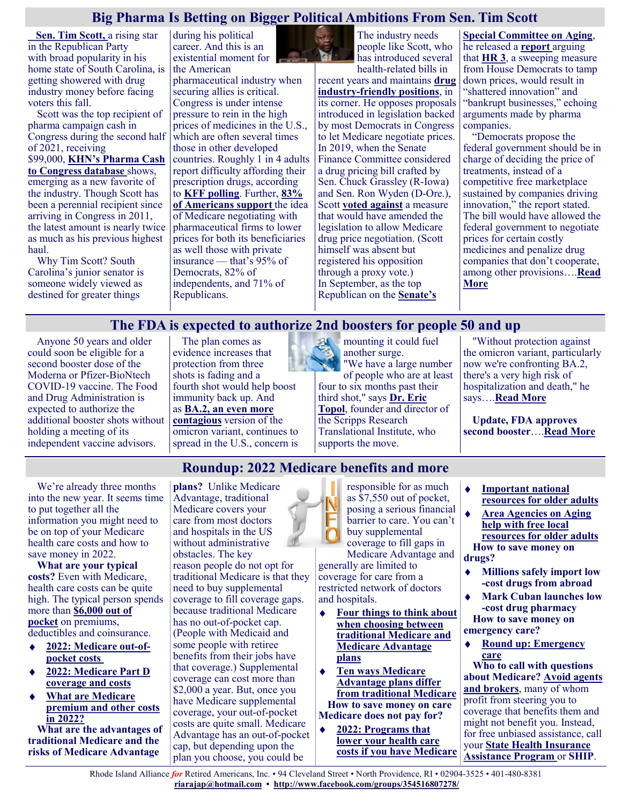# **Big Pharma Is Betting on Bigger Political Ambitions From Sen. Tim Scott**

 **[Sen. Tim Scott,](https://www.scott.senate.gov/)** a rising star in the Republican Party with [broad popularity](https://www.winthrop.edu/uploadedFiles/wupoll/2019Feb-WinthropPoll-Results-and-Methodology.pdf) in his home state of South Carolina, is getting showered with drug industry money before facing voters this fall.

Scott was the top recipient of pharma campaign cash in Congress during the second half of 2021, receiving \$99,000, **[KHN's Pharma Cash](https://khn.org/news/campaign/)  [to Congress database](https://khn.org/news/campaign/)** shows, emerging as a new favorite of the industry. Though Scott has been a perennial recipient since arriving in Congress in 2011, the latest amount is nearly twice as much as his previous highest haul.

Why Tim Scott? South Carolina's junior senator is someone widely viewed as destined for greater things

during his political career. And this is an existential moment for the American

pharmaceutical industry when securing allies is critical. Congress is under intense pressure to rein in the high prices of medicines in the U.S., which are often several times those in other developed countries. Roughly 1 in 4 adults report difficulty affording their prescription drugs, according to **[KFF polling](https://files.kff.org/attachment/TOPLINE-KFF-Health-Tracking-Poll-October-2021.pdf)**. Further, **[83%](https://www.kff.org/health-costs/poll-finding/public-weighs-in-on-medicare-drug-negotiations/)  [of Americans support](https://www.kff.org/health-costs/poll-finding/public-weighs-in-on-medicare-drug-negotiations/)** the idea of Medicare negotiating with pharmaceutical firms to lower prices for both its beneficiaries as well those with private insurance — that's 95% of Democrats, 82% of independents, and 71% of Republicans.



The industry needs people like Scott, who has introduced several

health-related bills in recent years and maintains **[drug](https://www.aging.senate.gov/imo/media/doc/Putting_Patients_First_10_2021.pdf)  industry-[friendly positions](https://www.aging.senate.gov/imo/media/doc/Putting_Patients_First_10_2021.pdf)**, in its corner. He opposes proposals introduced in legislation backed by most Democrats in Congress to let Medicare negotiate prices. In 2019, when the Senate Finance Committee considered a drug pricing bill crafted by Sen. Chuck Grassley (R-Iowa) and Sen. Ron Wyden (D-Ore.), Scott **[voted against](https://www.finance.senate.gov/imo/media/doc/Results%20of%20Executive%20Session%20on%20July%2025,%202019.pdf)** a measure that would have amended the legislation to allow Medicare drug price negotiation. (Scott himself was absent but registered his opposition through a proxy vote.) In September, as the top Republican on the **[Senate's](https://www.aging.senate.gov/)** 

**[Special Committee on Aging](https://www.aging.senate.gov/)**, he released a **[report](https://www.aging.senate.gov/imo/media/doc/Putting_Patients_First_10_2021.pdf)** arguing that **[HR 3](https://www.congress.gov/bill/116th-congress/house-bill/3)**, a sweeping measure from House Democrats to tamp down prices, would result in "shattered innovation" and "bankrupt businesses," echoing arguments made by pharma companies.

"Democrats propose the federal government should be in charge of deciding the price of treatments, instead of a competitive free marketplace sustained by companies driving innovation," the report stated. The bill would have allowed the federal government to negotiate prices for certain costly medicines and penalize drug companies that don't cooperate, among other provisions….**[Read](https://khn.org/news/article/big-pharma-is-betting-on-bigger-political-ambitions-from-sen-tim-scott/)  [More](https://khn.org/news/article/big-pharma-is-betting-on-bigger-political-ambitions-from-sen-tim-scott/)**

# **The FDA is expected to authorize 2nd boosters for people 50 and up**

**Roundup: 2022 Medicare benefits and more**

Anyone 50 years and older could soon be eligible for a second booster dose of the Moderna or Pfizer-BioNtech COVID-19 vaccine. The Food and Drug Administration is expected to authorize the additional booster shots without holding a meeting of its independent vaccine advisors.

The plan comes as evidence increases that protection from three shots is fading and a fourth shot would help boost immunity back up. And as **[BA.2, an even more](https://covid.cdc.gov/covid-data-tracker/#variant-proportions)  [contagious](https://covid.cdc.gov/covid-data-tracker/#variant-proportions)** version of the omicron variant, continues to spread in the U.S., concern is  $\mathbf{A}$ mounting it could fuel another surge. "We have a large number

of people who are at least four to six months past their third shot," says **[Dr. Eric](https://drerictopol.com/meet-eric-topol/)  [Topol](https://drerictopol.com/meet-eric-topol/)**, founder and director of the Scripps Research Translational Institute, who supports the move.

"Without protection against the omicron variant, particularly now we're confronting BA.2, there's a very high risk of hospitalization and death," he says….**[Read More](https://www.npr.org/sections/health-shots/2022/03/27/1089072803/the-fda-is-expected-to-authorize-2nd-boosters-for-people-50-and-up)**

**Update, FDA approves second booster**….**[Read More](https://www.statnews.com/2022/03/29/u-s-approves-second-covid-19-booster-for-people-50-and-older/)**

We're already three months into the new year. It seems time to put together all the information you might need to be on top of your Medicare health care costs and how to save money in 2022.

**What are your typical costs?** Even with Medicare, health care costs can be quite high. The typical person spends more than **[\\$6,000 out of](https://justcareusa.org/2022-medicare-out-of-pocket-costs/)  [pocket](https://justcareusa.org/2022-medicare-out-of-pocket-costs/)** on premiums, deductibles and coinsurance.

- **[2022: Medicare out](https://justcareusa.org/2022-medicare-out-of-pocket-costs/)-of-** $\blacklozenge$ **[pocket costs](https://justcareusa.org/2022-medicare-out-of-pocket-costs/)**
- **[2022: Medicare Part D](https://justcareusa.org/2022-medicare-part-d-coverage-and-costs/)  [coverage and costs](https://justcareusa.org/2022-medicare-part-d-coverage-and-costs/)**
- **[What are Medicare](https://justcareusa.org/what-are-medicare-premium-and-other-costs-in-2022/)  [premium and other costs](https://justcareusa.org/what-are-medicare-premium-and-other-costs-in-2022/)  [in 2022?](https://justcareusa.org/what-are-medicare-premium-and-other-costs-in-2022/)**

**What are the advantages of traditional Medicare and the risks of Medicare Advantage** 

**plans?** Unlike Medicare Advantage, traditional Medicare covers your care from most doctors and hospitals in the US without administrative obstacles. The key reason people do not opt for traditional Medicare is that they need to buy supplemental coverage to fill coverage gaps. because traditional Medicare has no out-of-pocket cap. (People with Medicaid and some people with retiree benefits from their jobs have that coverage.) Supplemental coverage can cost more than \$2,000 a year. But, once you have Medicare supplemental coverage, your out-of-pocket costs are quite small. Medicare Advantage has an out-of-pocket cap, but depending upon the plan you choose, you could be

responsible for as much as \$7,550 out of pocket, posing a serious financial barrier to care. You can't buy supplemental coverage to fill gaps in

Medicare Advantage and generally are limited to coverage for care from a restricted network of doctors and hospitals.

- **[Four things to think about](https://justcareusa.org/choosing-between-traditional-medicare-and-medicare-advantage-plans/)  [when choosing between](https://justcareusa.org/choosing-between-traditional-medicare-and-medicare-advantage-plans/)  [traditional Medicare and](https://justcareusa.org/choosing-between-traditional-medicare-and-medicare-advantage-plans/)  [Medicare Advantage](https://justcareusa.org/choosing-between-traditional-medicare-and-medicare-advantage-plans/)  [plans](https://justcareusa.org/choosing-between-traditional-medicare-and-medicare-advantage-plans/)**
- $\bullet$ **[Ten ways Medicare](https://justcareusa.org/ten-ways-medicare-advantage-plans-differ-from-traditional-medicare/)  [Advantage plans differ](https://justcareusa.org/ten-ways-medicare-advantage-plans-differ-from-traditional-medicare/)  [from traditional Medicare](https://justcareusa.org/ten-ways-medicare-advantage-plans-differ-from-traditional-medicare/) How to save money on care Medicare does not pay for?**
- **[2022: Programs that](https://justcareusa.org/2022-programs-that-lower-your-health-care-costs-if-you-have-medicare/)  [lower your health care](https://justcareusa.org/2022-programs-that-lower-your-health-care-costs-if-you-have-medicare/)  [costs if you have Medicare](https://justcareusa.org/2022-programs-that-lower-your-health-care-costs-if-you-have-medicare/)**
- **[Important national](https://justcareusa.org/important-resources-for-older-adults/)**   $\ddot{\bullet}$ **[resources for older adults](https://justcareusa.org/important-resources-for-older-adults/)**
- **[Area Agencies on Aging](https://justcareusa.org/free-local-resources-to-help-older-adults/)**   $\bullet$ **[help with free local](https://justcareusa.org/free-local-resources-to-help-older-adults/)  [resources for older adults](https://justcareusa.org/free-local-resources-to-help-older-adults/) How to save money on drugs?**
- **[Millions safely import low](https://justcareusa.org/millions-safely-import-low-cost-drugs-from-abroad/) -[cost drugs from abroad](https://justcareusa.org/millions-safely-import-low-cost-drugs-from-abroad/)**
- **[Mark Cuban launches low](https://justcareusa.org/mark-cuban-launches-low-cost-drug-pharmacy/)**  $\bullet$ **-[cost drug pharmacy](https://justcareusa.org/mark-cuban-launches-low-cost-drug-pharmacy/) How to save money on emergency care?**
- **[Round up: Emergency](https://justcareusa.org/round-up-emergency-care/)**  ۰ **[care](https://justcareusa.org/round-up-emergency-care/)**

**Who to call with questions about Medicare? [Avoid agents](https://justcareusa.org/medicare-open-enrollment-dont-trust-insurance-agents/)  [and brokers](https://justcareusa.org/medicare-open-enrollment-dont-trust-insurance-agents/)**, many of whom profit from steering you to coverage that benefits them and might not benefit you. Instead, for free unbiased assistance, call your **[State Health Insurance](https://www.shiphelp.org/)  [Assistance Program](https://www.shiphelp.org/)** or **SHIP**.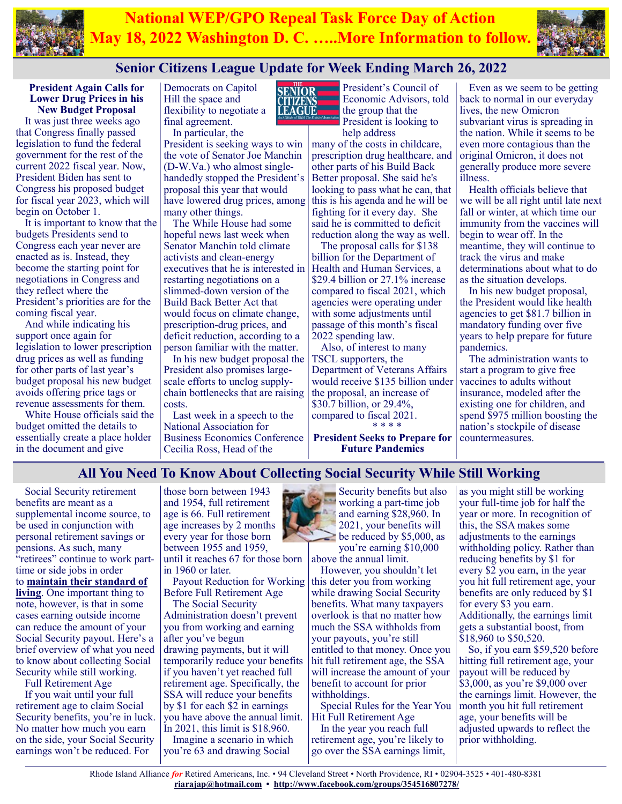



# **Senior Citizens League Update for Week Ending March 26, 2022**

**SENIOR** LEAGUE

**President Again Calls for Lower Drug Prices in his New Budget Proposal**

It was just three weeks ago that Congress finally passed legislation to fund the federal government for the rest of the current 2022 fiscal year. Now, President Biden has sent to Congress his proposed budget for fiscal year 2023, which will begin on October 1.

It is important to know that the budgets Presidents send to Congress each year never are enacted as is. Instead, they become the starting point for negotiations in Congress and they reflect where the President's priorities are for the coming fiscal year.

And while indicating his support once again for legislation to lower prescription drug prices as well as funding for other parts of last year's budget proposal his new budget avoids offering price tags or revenue assessments for them.

White House officials said the budget omitted the details to essentially create a place holder in the document and give

Democrats on Capitol Hill the space and flexibility to negotiate a final agreement. In particular, the

President is seeking ways to win the vote of Senator Joe Manchin (D-W.Va.) who almost singlehandedly stopped the President's proposal this year that would have lowered drug prices, among many other things.

The While House had some hopeful news last week when Senator Manchin told climate activists and clean-energy executives that he is interested in restarting negotiations on a slimmed-down version of the Build Back Better Act that would focus on climate change, prescription-drug prices, and deficit reduction, according to a person familiar with the matter.

In his new budget proposal the President also promises largescale efforts to unclog supplychain bottlenecks that are raising costs.

Last week in a speech to the National Association for Business Economics Conference Cecilia Ross, Head of the

President's Council of Economic Advisors, told the group that the President is looking to help address

many of the costs in childcare, prescription drug healthcare, and other parts of his Build Back Better proposal. She said he's looking to pass what he can, that this is his agenda and he will be fighting for it every day. She said he is committed to deficit reduction along the way as well.

The proposal calls for \$138 billion for the Department of Health and Human Services, a \$29.4 billion or 27.1% increase compared to fiscal 2021, which agencies were operating under with some adjustments until passage of this month's fiscal 2022 spending law.

Also, of interest to many TSCL supporters, the Department of Veterans Affairs would receive \$135 billion under the proposal, an increase of \$30.7 billion, or 29.4%, compared to fiscal 2021. \* \* \* \*

**President Seeks to Prepare for Future Pandemics**

Even as we seem to be getting back to normal in our everyday lives, the new Omicron subvariant virus is spreading in the nation. While it seems to be even more contagious than the original Omicron, it does not generally produce more severe illness.

Health officials believe that we will be all right until late next fall or winter, at which time our immunity from the vaccines will begin to wear off. In the meantime, they will continue to track the virus and make determinations about what to do as the situation develops.

In his new budget proposal, the President would like health agencies to get \$81.7 billion in mandatory funding over five years to help prepare for future pandemics.

The administration wants to start a program to give free vaccines to adults without insurance, modeled after the existing one for children, and spend \$975 million boosting the nation's stockpile of disease countermeasures.

# **All You Need To Know About Collecting Social Security While Still Working**

Social Security retirement benefits are meant as a supplemental income source, to be used in conjunction with personal retirement savings or pensions. As such, many "retirees" continue to work parttime or side jobs in order to **[maintain their standard of](https://www.gobankingrates.com/retirement/planning/surprising-ways-retirees-earning-extra-money/?utm_campaign=1159792&utm_source=msn.com&utm_content=1&utm_medium=rss)  [living](https://www.gobankingrates.com/retirement/planning/surprising-ways-retirees-earning-extra-money/?utm_campaign=1159792&utm_source=msn.com&utm_content=1&utm_medium=rss)**. One important thing to note, however, is that in some cases earning outside income can reduce the amount of your Social Security payout. Here's a brief overview of what you need to know about collecting Social Security while still working.

Full Retirement Age

If you wait until your full retirement age to claim Social Security benefits, you're in luck. No matter how much you earn on the side, your Social Security earnings won't be reduced. For

those born between 1943 and 1954, full retirement age is 66. Full retirement age increases by 2 months every year for those born between 1955 and 1959, until it reaches 67 for those born

in 1960 or later.

Payout Reduction for Working Before Full Retirement Age The Social Security

Administration doesn't prevent you from working and earning after you've begun drawing payments, but it will temporarily reduce your benefits if you haven't yet reached full retirement age. Specifically, the SSA will reduce your benefits by \$1 for each \$2 in earnings you have above the annual limit. In 2021, this limit is \$18,960.

Imagine a scenario in which you're 63 and drawing Social

Security benefits but also working a part-time job and earning \$28,960. In 2021, your benefits will be reduced by \$5,000, as you're earning \$10,000

above the annual limit. However, you shouldn't let

this deter you from working while drawing Social Security benefits. What many taxpayers overlook is that no matter how much the SSA withholds from your payouts, you're still entitled to that money. Once you hit full retirement age, the SSA will increase the amount of your benefit to account for prior withholdings.

Special Rules for the Year You Hit Full Retirement Age

In the year you reach full retirement age, you're likely to go over the SSA earnings limit, as you might still be working your full-time job for half the year or more. In recognition of this, the SSA makes some adjustments to the earnings withholding policy. Rather than reducing benefits by \$1 for every \$2 you earn, in the year you hit full retirement age, your benefits are only reduced by \$1 for every \$3 you earn. Additionally, the earnings limit gets a substantial boost, from \$18,960 to \$50,520.

So, if you earn \$59,520 before hitting full retirement age, your payout will be reduced by \$3,000, as you're \$9,000 over the earnings limit. However, the month you hit full retirement age, your benefits will be adjusted upwards to reflect the prior withholding.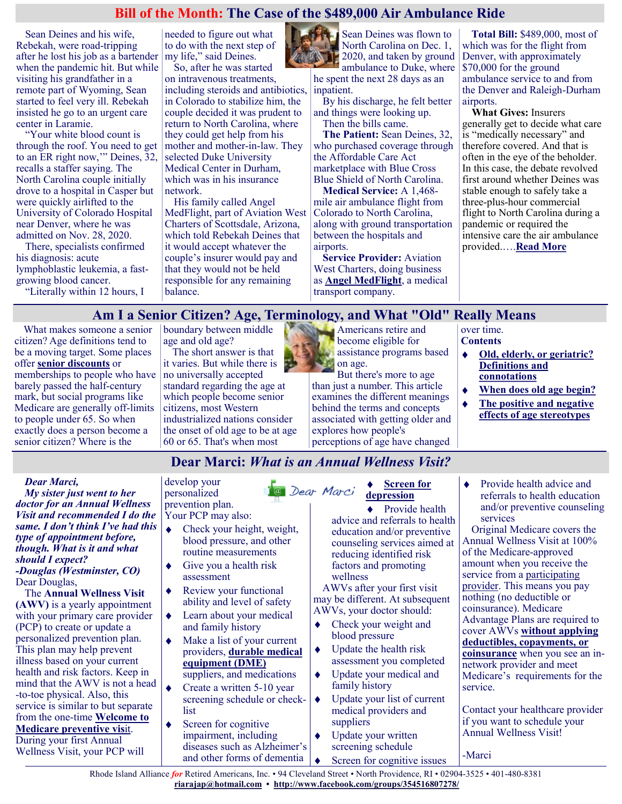### **Bill of the Month: The Case of the \$489,000 Air Ambulance Ride**

Sean Deines and his wife, Rebekah, were road-tripping after he lost his job as a bartender when the pandemic hit. But while visiting his grandfather in a remote part of Wyoming, Sean started to feel very ill. Rebekah insisted he go to an urgent care center in Laramie.

"Your white blood count is through the roof. You need to get to an ER right now,'" Deines, 32, recalls a staffer saying. The North Carolina couple initially drove to a hospital in Casper but were quickly airlifted to the University of Colorado Hospital near Denver, where he was admitted on Nov. 28, 2020.

There, specialists confirmed his diagnosis: acute lymphoblastic leukemia, a fastgrowing blood cancer.

"Literally within 12 hours, I

needed to figure out what to do with the next step of my life," said Deines. So, after he was started

on intravenous treatments, including steroids and antibiotics, in Colorado to stabilize him, the couple decided it was prudent to return to North Carolina, where they could get help from his mother and mother-in-law. They selected Duke University Medical Center in Durham, which was in his insurance network.

His family called Angel MedFlight, part of Aviation West Charters of Scottsdale, Arizona, which told Rebekah Deines that it would accept whatever the couple's insurer would pay and that they would not be held responsible for any remaining balance.



Sean Deines was flown to North Carolina on Dec. 1, 2020, and taken by ground ambulance to Duke, where he spent the next 28 days as an inpatient.

By his discharge, he felt better and things were looking up. Then the bills came.

**The Patient:** Sean Deines, 32, who purchased coverage through the Affordable Care Act marketplace with Blue Cross Blue Shield of North Carolina.

**Medical Service:** A 1,468 mile air ambulance flight from Colorado to North Carolina, along with ground transportation between the hospitals and airports.

**Service Provider:** Aviation West Charters, doing business as **[Angel MedFlight](https://www.angelmedflight.com/)**, a medical transport company.

**Total Bill:** \$489,000, most of which was for the flight from Denver, with approximately \$70,000 for the ground ambulance service to and from the Denver and Raleigh-Durham airports.

**What Gives:** Insurers generally get to decide what care is "medically necessary" and therefore covered. And that is often in the eye of the beholder. In this case, the debate revolved first around whether Deines was stable enough to safely take a three-plus-hour commercial flight to North Carolina during a pandemic or required the intensive care the air ambulance provided.….**[Read More](https://khn.org/news/article/the-case-of-the-489000-air-ambulance-ride/)**

## **Am I a Senior Citizen? Age, Terminology, and What "Old" Really Means**

What makes someone a senior citizen? Age definitions tend to be a moving target. Some places offer **[senior discounts](https://www.greatseniorliving.com/articles/seniors-discounts)** or memberships to people who have barely passed the half-century mark, but social programs like Medicare are generally off-limits to people under 65. So when exactly does a person become a senior citizen? Where is the

boundary between middle age and old age?

The short answer is that it varies. But while there is no universally accepted standard regarding the age at which people become senior citizens, most Western industrialized nations consider the onset of old age to be at age 60 or 65. That's when most



But there's more to age than just a number. This article examines the different meanings behind the terms and concepts associated with getting older and explores how people's perceptions of age have changed

over time. **Contents**

- **[Old, elderly, or geriatric?](https://www.greatseniorliving.com/articles/senior-citizen-age#definitions-connotations)**   $\bullet$ **[Definitions and](https://www.greatseniorliving.com/articles/senior-citizen-age#definitions-connotations)  [connotations](https://www.greatseniorliving.com/articles/senior-citizen-age#definitions-connotations)**
- **[When does old age begin?](https://www.greatseniorliving.com/articles/senior-citizen-age#when-does-old-age)**  $\blacklozenge$
- **[The positive and negative](https://www.greatseniorliving.com/articles/senior-citizen-age#positive-and-negative)**  ٠ **[effects of age stereotypes](https://www.greatseniorliving.com/articles/senior-citizen-age#positive-and-negative)**

# **Dear Marci:** *What is an Annual Wellness Visit?*

<sup>1</sup>@ Dear Marci

#### *Dear Marci,*

*My sister just went to her doctor for an Annual Wellness Visit and recommended I do the same. I don't think I've had this type of appointment before, though. What is it and what should I expect? -Douglas (Westminster, CO)* Dear Douglas,

The **Annual Wellness Visit (AWV)** is a yearly appointment with your primary care provider (PCP) to create or update a personalized prevention plan. This plan may help prevent illness based on your current health and risk factors. Keep in mind that the AWV is not a head -to-toe physical. Also, this service is similar to but separate from the one-time **[Welcome to](https://medicarerights.us15.list-manage.com/track/click?u=1621f54a596f3717c22815356&id=328ff1c3f6&e=88d22ba1fe)  [Medicare preventive vis](https://medicarerights.us15.list-manage.com/track/click?u=1621f54a596f3717c22815356&id=328ff1c3f6&e=88d22ba1fe)**it. During your first Annual Wellness Visit, your PCP will

develop your personalized prevention plan.

Your PCP may also:

- Check your height, weight, blood pressure, and other routine measurements
- Give you a health risk assessment
- Review your functional ability and level of safety
- Learn about your medical and family history
- Make a list of your current providers, **[durable medical](https://medicarerights.us15.list-manage.com/track/click?u=1621f54a596f3717c22815356&id=0662aa1a1e&e=88d22ba1fe)  [equipment \(DME\)](https://medicarerights.us15.list-manage.com/track/click?u=1621f54a596f3717c22815356&id=0662aa1a1e&e=88d22ba1fe)** suppliers, and medications
- Create a written 5-10 year
- screening schedule or checklist
- Screen for cognitive impairment, including diseases such as Alzheimer's and other forms of dementia

#### **[Screen for](https://medicarerights.us15.list-manage.com/track/click?u=1621f54a596f3717c22815356&id=225fce1e03&e=88d22ba1fe)  [depression](https://medicarerights.us15.list-manage.com/track/click?u=1621f54a596f3717c22815356&id=225fce1e03&e=88d22ba1fe)**

◆ Provide health advice and referrals to health education and/or preventive counseling services aimed at reducing identified risk factors and promoting wellness

AWVs after your first visit may be different. At subsequent

- AWVs, your doctor should:
- Check your weight and blood pressure
- Update the health risk  $\blacklozenge$ assessment you completed
- $\bullet$ Update your medical and family history
- Update your list of current medical providers and suppliers
- $\ddot{\bullet}$ Update your written screening schedule
	- Screen for cognitive issues

 $\ddot{\bullet}$ Provide health advice and referrals to health education and/or preventive counseling services

Original Medicare covers the Annual Wellness Visit at 100% of the Medicare-approved amount when you receive the service from a [participating](https://medicarerights.us15.list-manage.com/track/click?u=1621f54a596f3717c22815356&id=81b8634885&e=88d22ba1fe)  [provider.](https://medicarerights.us15.list-manage.com/track/click?u=1621f54a596f3717c22815356&id=81b8634885&e=88d22ba1fe) This means you pay nothing (no deductible or coinsurance). Medicare Advantage Plans are required to cover AWVs **[without applying](https://medicarerights.us15.list-manage.com/track/click?u=1621f54a596f3717c22815356&id=94bba912be&e=88d22ba1fe)  [deductibles, copayments, or](https://medicarerights.us15.list-manage.com/track/click?u=1621f54a596f3717c22815356&id=94bba912be&e=88d22ba1fe)  [coinsurance](https://medicarerights.us15.list-manage.com/track/click?u=1621f54a596f3717c22815356&id=94bba912be&e=88d22ba1fe)** when you see an innetwork provider and meet Medicare's requirements for the service.

Contact your healthcare provider if you want to schedule your Annual Wellness Visit!

-Marci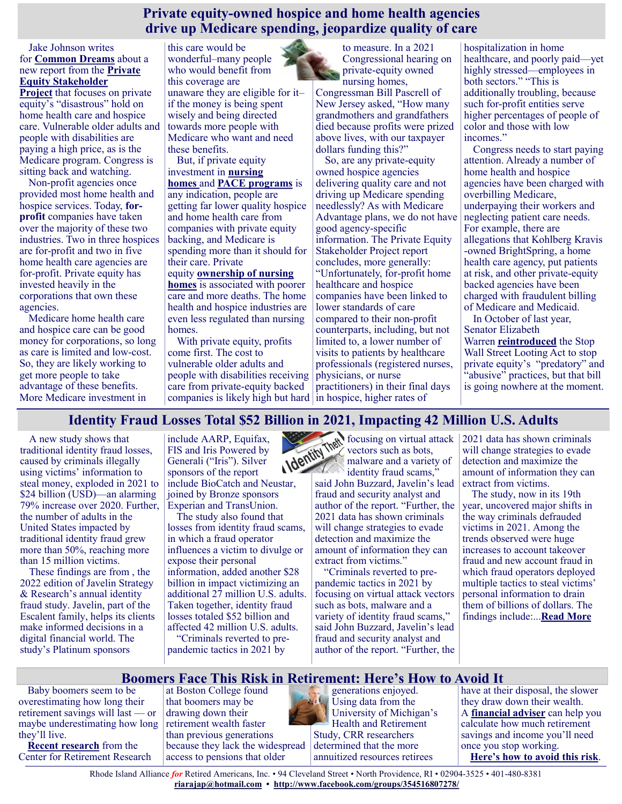#### **Private equity-owned hospice and home health agencies drive up Medicare spending, jeopardize quality of care**

Jake Johnson writes for **[Common Dreams](https://www.commondreams.org/news/2022/03/18/report-rings-alarm-over-private-equitys-grip-home-health-hospice-industries)** about a new report from the **[Private](https://pestakeholder.org/wp-content/uploads/2022/03/Home-Healthcare-and-Hospice-report.pdf)  [Equity Stakeholder](https://pestakeholder.org/wp-content/uploads/2022/03/Home-Healthcare-and-Hospice-report.pdf)** 

**[Project](https://pestakeholder.org/wp-content/uploads/2022/03/Home-Healthcare-and-Hospice-report.pdf)** that focuses on private equity's "disastrous" hold on home health care and hospice care. Vulnerable older adults and people with disabilities are paying a high price, as is the Medicare program. Congress is sitting back and watching.

Non-profit agencies once provided most home health and hospice services. Today, **[for](https://justcareusa.org/hospices-misleading-patients-overbilling-medicare/)[profit](https://justcareusa.org/hospices-misleading-patients-overbilling-medicare/)** companies have taken over the majority of these two industries. Two in three hospices are for-profit and two in five home health care agencies are for-profit. Private equity has invested heavily in the corporations that own these agencies.

Medicare home health care and hospice care can be good money for corporations, so long as care is limited and low-cost. So, they are likely working to get more people to take advantage of these benefits. More Medicare investment in

this care would be wonderful–many people who would benefit from this coverage are unaware they are eligible for it– if the money is being spent wisely and being directed towards more people with Medicare who want and need these benefits.

But, if private equity investment in **[nursing](https://justcareusa.org/beware-of-chain-nursing-homes/)  [homes](https://justcareusa.org/beware-of-chain-nursing-homes/)** and **[PACE programs](https://justcareusa.org/how-a-for-profit-program-that-should-provide-all-inclusive-care-neglects-its-elderly-patients/)** is any indication, people are getting far lower quality hospice and home health care from companies with private equity backing, and Medicare is spending more than it should for their care. Private equity **[ownership of nursing](https://news.weill.cornell.edu/news/2021/11/private-equity-ownership-of-nursing-homes-linked-to-lower-quality-of-care-higher)  [homes](https://news.weill.cornell.edu/news/2021/11/private-equity-ownership-of-nursing-homes-linked-to-lower-quality-of-care-higher)** is associated with poorer care and more deaths. The home health and hospice industries are even less regulated than nursing

homes. With private equity, profits come first. The cost to vulnerable older adults and people with disabilities receiving care from private-equity backed companies is likely high but hard in hospice, higher rates of

to measure. In a 2021 Congressional hearing on private-equity owned nursing homes,

Congressman Bill Pascrell of New Jersey asked, "How many grandmothers and grandfathers died because profits were prized above lives, with our taxpayer dollars funding this?"

So, are any private-equity owned hospice agencies delivering quality care and not driving up Medicare spending needlessly? As with Medicare Advantage plans, we do not have good agency-specific information. The Private Equity Stakeholder Project report concludes, more generally: "Unfortunately, for-profit home healthcare and hospice companies have been linked to lower standards of care compared to their non-profit counterparts, including, but not limited to, a lower number of visits to patients by healthcare professionals (registered nurses, physicians, or nurse practitioners) in their final days

hospitalization in home healthcare, and poorly paid—yet highly stressed—employees in both sectors." "This is additionally troubling, because such for-profit entities serve higher percentages of people of color and those with low incomes."

Congress needs to start paying attention. Already a number of home health and hospice agencies have been charged with overbilling Medicare, underpaying their workers and neglecting patient care needs. For example, there are allegations that Kohlberg Kravis -owned BrightSpring, a home health care agency, put patients at risk, and other private-equity backed agencies have been charged with fraudulent billing of Medicare and Medicaid.

In October of last year, Senator Elizabeth Warren **[reintroduced](https://www.congress.gov/bill/117th-congress/house-bill/5648?s=1&r=8)** the Stop Wall Street Looting Act to stop private equity's "predatory" and "abusive" practices, but that bill is going nowhere at the moment.

# **Identity Fraud Losses Total \$52 Billion in 2021, Impacting 42 Million U.S. Adults**

A new study shows that traditional identity fraud losses, caused by criminals illegally using victims' information to steal money, exploded in 2021 to \$24 billion (USD)—an alarming 79% increase over 2020. Further, the number of adults in the United States impacted by traditional identity fraud grew more than 50%, reaching more than 15 million victims.

These findings are from , the 2022 edition of Javelin Strategy & Research's annual identity fraud study. Javelin, part of the Escalent family, helps its clients make informed decisions in a digital financial world. The study's Platinum sponsors

include AARP, Equifax, FIS and Iris Powered by Generali ("Iris"). Silver sponsors of the report include BioCatch and Neustar, joined by Bronze sponsors Experian and TransUnion.

The study also found that losses from identity fraud scams, in which a fraud operator influences a victim to divulge or expose their personal information, added another \$28 billion in impact victimizing an additional 27 million U.S. adults. Taken together, identity fraud losses totaled \$52 billion and affected 42 million U.S. adults. "Criminals reverted to pre-

pandemic tactics in 2021 by



focusing on virtual attack vectors such as bots, malware and a variety of

identity fraud scams," said John Buzzard, Javelin's lead fraud and security analyst and author of the report. "Further, the 2021 data has shown criminals will change strategies to evade detection and maximize the amount of information they can extract from victims."

"Criminals reverted to prepandemic tactics in 2021 by focusing on virtual attack vectors such as bots, malware and a variety of identity fraud scams," said John Buzzard, Javelin's lead fraud and security analyst and author of the report. "Further, the 2021 data has shown criminals will change strategies to evade detection and maximize the amount of information they can extract from victims.

The study, now in its 19th year, uncovered major shifts in the way criminals defrauded victims in 2021. Among the trends observed were huge increases to account takeover fraud and new account fraud in which fraud operators deployed multiple tactics to steal victims' personal information to drain them of billions of dollars. The findings include:...**[Read More](https://www.bakersfield.com/ap/news/identity-fraud-losses-total-52-billion-in-2021-impacting-42-million-u-s-adults/article_5a2a67b0-bc0e-52b8-a8d7-9c99320a3cb7.html)**

## **Boomers Face This Risk in Retirement: Here's How to Avoid It**

Baby boomers seem to be overestimating how long their retirement savings will last — or maybe underestimating how long they'll live.

**[Recent research](https://crr.bc.edu/wp-content/uploads/2021/09/wp_2021-11.pdf)** from the Center for Retirement Research at Boston College found that boomers may be drawing down their retirement wealth faster than previous generations because they lack the widespread access to pensions that older



generations enjoyed. Using data from the University of Michigan's Health and Retirement Study, CRR researchers determined that the more annuitized resources retirees

have at their disposal, the slower they draw down their wealth. A **[financial adviser](https://smartasset.com/retirement/find-a-financial-planner?utm_source=smartasset&utm_medium=referral&utm_campaign=sma__falc_relevant&utm_content=definedcontributionplanboomers)** can help you calculate how much retirement savings and income you'll need once you stop working. **[Here's how to avoid this risk](https://www.msn.com/en-us/money/retirement/boomers-face-this-risk-in-retirement-here-s-how-to-avoid-it/ss-AAVt6KP?ocid=SK2DDHP#image=1)**.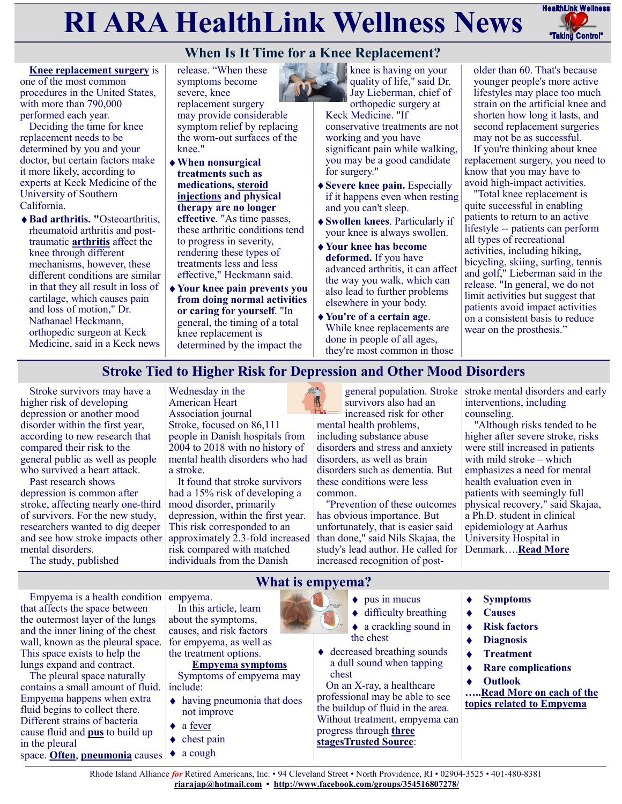# **RI ARA HealthLink Wellness News** FreathLink Wellness



# **When Is It Time for a Knee Replacement?**

**[Knee replacement surgery](https://orthoinfo.aaos.org/en/treatment/total-knee-replacement/)** is one of the most common procedures in the United States, with more than 790,000 performed each year.

Deciding the time for knee replacement needs to be determined by you and your doctor, but certain factors make it more likely, according to experts at Keck Medicine of the University of Southern California.

**Bad arthritis. "**Osteoarthritis, rheumatoid arthritis and posttraumatic **[arthritis](https://my.clevelandclinic.org/health/diseases/12061-arthritis)** affect the knee through different mechanisms, however, these different conditions are similar in that they all result in loss of cartilage, which causes pain and loss of motion," Dr. Nathanael Heckmann, orthopedic surgeon at Keck Medicine, said in a Keck news release. "When these symptoms become severe, knee replacement surgery may provide considerable symptom relief by replacing the worn-out surfaces of the knee."

- **When nonsurgical treatments such as medications, [steroid](https://health.clevelandclinic.org/when-are-steroid-shots-a-good-option-for-painful-knees-and-hips/)  [injections](https://health.clevelandclinic.org/when-are-steroid-shots-a-good-option-for-painful-knees-and-hips/) and physical therapy are no longer effective**. "As time passes, these arthritic conditions tend to progress in severity, rendering these types of treatments less and less effective," Heckmann said.
- **Your knee pain prevents you from doing normal activities or caring for yourself**. "In general, the timing of a total knee replacement is determined by the impact the



knee is having on your quality of life," said Dr. Jay Lieberman, chief of orthopedic surgery at

Keck Medicine. "If conservative treatments are not working and you have significant pain while walking, you may be a good candidate for surgery."

- **Severe knee pain.** Especially if it happens even when resting and you can't sleep.
- **Swollen knees**. Particularly if your knee is always swollen.
- **Your knee has become deformed.** If you have advanced arthritis, it can affect the way you walk, which can also lead to further problems elsewhere in your body.
- **You're of a certain age**. While knee replacements are done in people of all ages, they're most common in those

older than 60. That's because younger people's more active lifestyles may place too much strain on the artificial knee and shorten how long it lasts, and second replacement surgeries may not be as successful.

If you're thinking about knee replacement surgery, you need to know that you may have to avoid high-impact activities.

"Total knee replacement is quite successful in enabling patients to return to an active lifestyle -- patients can perform all types of recreational activities, including hiking, bicycling, skiing, surfing, tennis and golf," Lieberman said in the release. "In general, we do not limit activities but suggest that patients avoid impact activities on a consistent basis to reduce wear on the prosthesis."

# **Stroke Tied to Higher Risk for Depression and Other Mood Disorders**

Stroke survivors may have a higher risk of developing depression or another mood disorder within the first year, according to new research that compared their risk to the general public as well as people who survived a heart attack.

Past research shows depression is common after stroke, affecting nearly one-third of survivors. For the new study, researchers wanted to dig deeper and see how stroke impacts other mental disorders.

The study, published

Wednesday in the American Heart Association journal Stroke, focused on 86,111 people in Danish hospitals from 2004 to 2018 with no history of mental health disorders who had a stroke.

It found that stroke survivors had a 15% risk of developing a mood disorder, primarily depression, within the first year. This risk corresponded to an approximately 2.3-fold increased risk compared with matched individuals from the Danish

general population. Stroke survivors also had an increased risk for other

mental health problems, including substance abuse disorders and stress and anxiety disorders, as well as brain disorders such as dementia. But these conditions were less common.

"Prevention of these outcomes has obvious importance. But unfortunately, that is easier said than done," said Nils Skajaa, the study's lead author. He called for increased recognition of poststroke mental disorders and early interventions, including counseling.

"Although risks tended to be higher after severe stroke, risks were still increased in patients with mild stroke – which emphasizes a need for mental health evaluation even in patients with seemingly full physical recovery," said Skajaa, a Ph.D. student in clinical epidemiology at Aarhus University Hospital in Denmark….**[Read More](https://consumer.healthday.com/aha-news-stroke-tied-to-higher-risk-for-depression-and-other-mood-disorders-2657022979.html)**

Empyema is a health condition  $|$  empyema. that affects the space between the outermost layer of the lungs and the inner lining of the chest wall, known as the pleural space. This space exists to help the lungs expand and contract.

The pleural space naturally contains a small amount of fluid. Empyema happens when extra fluid begins to collect there. Different strains of bacteria cause fluid and **[pus](https://www.medicalnewstoday.com/articles/249182.php)** to build up in the pleural space. **[Often](https://www.atsjournals.org/doi/full/10.1513/AnnalsATS.201505-272OC)**, **[pneumonia](https://www.medicalnewstoday.com/articles/151632.php)** causes

In this article, learn about the symptoms, causes, and risk factors for empyema, as well as the treatment options.

#### **Empyema symptoms**

Symptoms of empyema may include:

- having pneumonia that does not improve
- a [fever](https://www.medicalnewstoday.com/articles/168266.php)
- chest pain
- a cough  $\blacklozenge$

# **What is empyema?**

- $\bullet$  pus in mucus
- $\triangleleft$  difficulty breathing
- ◆ a crackling sound in the chest
- ◆ decreased breathing sounds a dull sound when tapping chest

On an X-ray, a healthcare professional may be able to see the buildup of fluid in the area. Without treatment, empyema can progress through **[three](https://www.ncbi.nlm.nih.gov/books/NBK459237/)  [stagesTrusted Source](https://www.ncbi.nlm.nih.gov/books/NBK459237/)**:

- **[Symptoms](https://www.medicalnewstoday.com/articles/323578#symptoms)**
- **[Causes](https://www.medicalnewstoday.com/articles/323578#causes)**
- **[Risk factors](https://www.medicalnewstoday.com/articles/323578#risk-factors)**  $\blacklozenge$
- **[Diagnosis](https://www.medicalnewstoday.com/articles/323578#diagnosis)**  $\ddot{\bullet}$
- **[Treatment](https://www.medicalnewstoday.com/articles/323578#treatment)**  $\blacklozenge$
- **[Rare complications](https://www.medicalnewstoday.com/articles/323578#rare-complications)**  $\ddot{\bullet}$
- **[Outlook](https://www.medicalnewstoday.com/articles/323578#outlook)**  $\ddot{\bullet}$

**…..[Read More on each of the](https://www.medicalnewstoday.com/articles/323578)  [topics related to Empyema](https://www.medicalnewstoday.com/articles/323578)**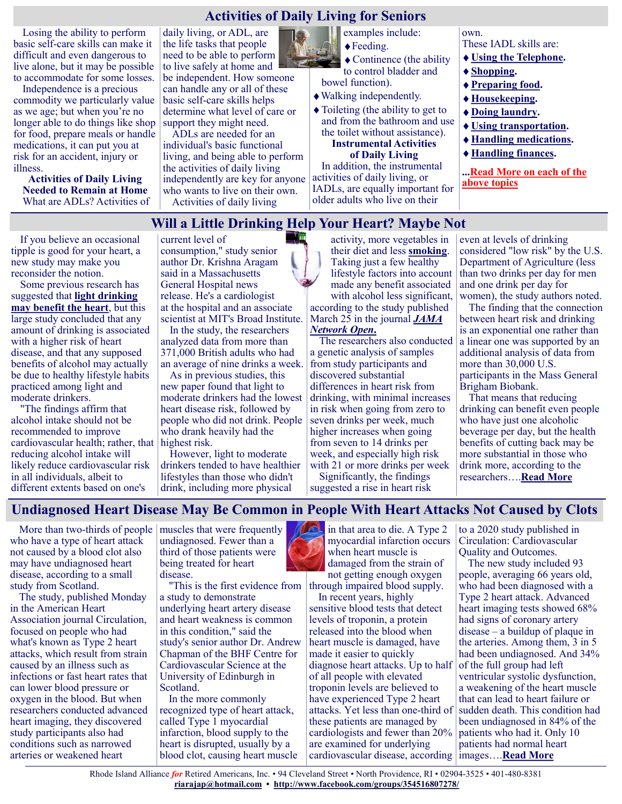## **Activities of Daily Living for Seniors**

Losing the ability to perform basic self-care skills can make it difficult and even dangerous to live alone, but it may be possible to accommodate for some losses.

Independence is a precious commodity we particularly value as we age; but when you're no longer able to do things like shop for food, prepare meals or handle medications, it can put you at risk for an accident, injury or illness.

**Activities of Daily Living Needed to Remain at Home** What are ADLs? Activities of daily living, or ADL, are the life tasks that people need to be able to perform to live safely at home and be independent. How someone can handle any or all of these basic self-care skills helps determine what level of care or support they might need.

ADLs are needed for an individual's basic functional living, and being able to perform the activities of daily living independently are key for anyone who wants to live on their own. Activities of daily living

 $\sim$   $\sim$ 

examples include:

◆ Feeding.

◆ Continence (the ability

to control bladder and bowel function).

Walking independently.

• Toileting (the ability to get to and from the bathroom and use the toilet without assistance). **Instrumental Activities**

**of Daily Living**

In addition, the instrumental activities of daily living, or IADLs, are equally important for older adults who live on their

own. These IADL skills are:

- **[Using the Telephone.](https://health.usnews.com/senior-care/caregiving/articles/activities-of-daily-living-for-seniors#telephone)**
- **[Shopping.](https://health.usnews.com/senior-care/caregiving/articles/activities-of-daily-living-for-seniors#shopping)**
- **[Preparing food.](https://health.usnews.com/senior-care/caregiving/articles/activities-of-daily-living-for-seniors#preparing)**
- **[Housekeeping.](https://health.usnews.com/senior-care/caregiving/articles/activities-of-daily-living-for-seniors#housekeeping)**
- **[Doing laundry.](https://health.usnews.com/senior-care/caregiving/articles/activities-of-daily-living-for-seniors#doing)**
- **[Using transportation.](https://health.usnews.com/senior-care/caregiving/articles/activities-of-daily-living-for-seniors#using)**
- **[Handling medications.](https://health.usnews.com/senior-care/caregiving/articles/activities-of-daily-living-for-seniors#medications)**
- **[Handling finances.](https://health.usnews.com/senior-care/caregiving/articles/activities-of-daily-living-for-seniors#finances)**

**...[Read More on each of the](https://health.usnews.com/senior-care/caregiving/articles/activities-of-daily-living-for-seniors)  [above topics](https://health.usnews.com/senior-care/caregiving/articles/activities-of-daily-living-for-seniors)**

## **Will a Little Drinking Help Your Heart? Maybe Not**

If you believe an occasional tipple is good for your heart, a new study may make you reconsider the notion.

Some previous research has suggested that **[light drinking](https://www.hopkinsmedicine.org/health/wellness-and-prevention/alcohol-and-heart-health-separating-fact-from-fiction)  [may benefit the heart](https://www.hopkinsmedicine.org/health/wellness-and-prevention/alcohol-and-heart-health-separating-fact-from-fiction)**, but this large study concluded that any amount of drinking is associated with a higher risk of heart disease, and that any supposed benefits of alcohol may actually be due to healthy lifestyle habits practiced among light and moderate drinkers.

"The findings affirm that alcohol intake should not be recommended to improve cardiovascular health; rather, that highest risk. reducing alcohol intake will likely reduce cardiovascular risk in all individuals, albeit to different extents based on one's

current level of consumption," study senior author Dr. Krishna Aragam said in a Massachusetts General Hospital news release. He's a cardiologist at the hospital and an associate scientist at MIT's Broad Institute.

In the study, the researchers analyzed data from more than 371,000 British adults who had an average of nine drinks a week.

As in previous studies, this new paper found that light to moderate drinkers had the lowest heart disease risk, followed by people who did not drink. People who drank heavily had the

However, light to moderate drinkers tended to have healthier lifestyles than those who didn't drink, including more physical

activity, more vegetables in their diet and less **[smoking](https://www.cdc.gov/tobacco/data_statistics/fact_sheets/health_effects/effects_cig_smoking/index.htm)**. Taking just a few healthy lifestyle factors into account made any benefit associated with alcohol less significant, according to the study published March 25 in the journal *[JAMA](https://jamanetwork.com/journals/jamanetworkopen/fullarticle/2790520)  [Network Open](https://jamanetwork.com/journals/jamanetworkopen/fullarticle/2790520)***.**

The researchers also conducted a genetic analysis of samples from study participants and discovered substantial differences in heart risk from drinking, with minimal increases in risk when going from zero to seven drinks per week, much higher increases when going from seven to 14 drinks per week, and especially high risk with 21 or more drinks per week Significantly, the findings

suggested a rise in heart risk

even at levels of drinking considered "low risk" by the U.S. Department of Agriculture (less than two drinks per day for men and one drink per day for women), the study authors noted.

The finding that the connection between heart risk and drinking is an exponential one rather than a linear one was supported by an additional analysis of data from more than 30,000 U.S. participants in the Mass General Brigham Biobank.

That means that reducing drinking can benefit even people who have just one alcoholic beverage per day, but the health benefits of cutting back may be more substantial in those who drink more, according to the researchers….**[Read More](https://consumer.healthday.com/b-3-25-will-a-little-drinking-help-your-heart-maybe-not-2657038880.html)**

# **Undiagnosed Heart Disease May Be Common in People With Heart Attacks Not Caused by Clots**

More than two-thirds of people | muscles that were frequently who have a type of heart attack not caused by a blood clot also may have undiagnosed heart disease, according to a small study from Scotland.

The study, published Monday in the American Heart Association journal Circulation, focused on people who had what's known as Type 2 heart attacks, which result from strain caused by an illness such as infections or fast heart rates that can lower blood pressure or oxygen in the blood. But when researchers conducted advanced heart imaging, they discovered study participants also had conditions such as narrowed arteries or weakened heart

undiagnosed. Fewer than a third of those patients were being treated for heart disease.

"This is the first evidence from a study to demonstrate underlying heart artery disease and heart weakness is common in this condition," said the study's senior author Dr. Andrew Chapman of the BHF Centre for Cardiovascular Science at the University of Edinburgh in Scotland.

In the more commonly recognized type of heart attack, called Type 1 myocardial infarction, blood supply to the heart is disrupted, usually by a blood clot, causing heart muscle in that area to die. A Type 2 myocardial infarction occurs when heart muscle is damaged from the strain of not getting enough oxygen

through impaired blood supply. In recent years, highly

sensitive blood tests that detect levels of troponin, a protein released into the blood when heart muscle is damaged, have made it easier to quickly diagnose heart attacks. Up to half of all people with elevated troponin levels are believed to have experienced Type 2 heart attacks. Yet less than one-third of these patients are managed by cardiologists and fewer than 20% are examined for underlying cardiovascular disease, according images….**[Read More](https://consumer.healthday.com/aha-news-undiagnosed-heart-disease-may-be-common-in-people-with-heart-attacks-not-caused-by-clots-2657050761.html)**

to a 2020 study published in Circulation: Cardiovascular Quality and Outcomes.

The new study included 93 people, averaging 66 years old, who had been diagnosed with a Type 2 heart attack. Advanced heart imaging tests showed 68% had signs of coronary artery disease – a buildup of plaque in the arteries. Among them, 3 in 5 had been undiagnosed. And 34% of the full group had left ventricular systolic dysfunction, a weakening of the heart muscle that can lead to heart failure or sudden death. This condition had been undiagnosed in 84% of the patients who had it. Only 10 patients had normal heart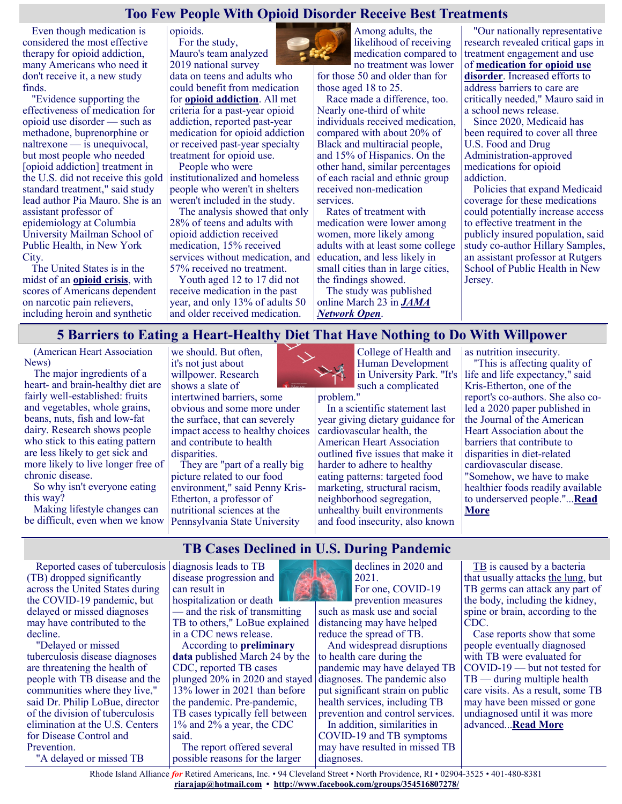#### **Too Few People With Opioid Disorder Receive Best Treatments**

opioids.

Even though medication is considered the most effective therapy for opioid addiction, many Americans who need it don't receive it, a new study finds.

"Evidence supporting the effectiveness of medication for opioid use disorder — such as methadone, buprenorphine or naltrexone — is unequivocal, but most people who needed [opioid addiction] treatment in the U.S. did not receive this gold standard treatment," said study lead author Pia Mauro. She is an assistant professor of epidemiology at Columbia University Mailman School of Public Health, in New York City.

The United States is in the midst of an **[opioid crisis](https://nida.nih.gov/drug-topics/opioids/opioid-overdose-crisis)**, with scores of Americans dependent on narcotic pain relievers, including heroin and synthetic

For the study, Mauro's team analyzed 2019 national survey data on teens and adults who could benefit from medication for **[opioid addiction](https://familydoctor.org/condition/opioid-addiction/)**. All met criteria for a past-year opioid addiction, reported past-year medication for opioid addiction or received past-year specialty

treatment for opioid use. People who were

institutionalized and homeless people who weren't in shelters weren't included in the study.

The analysis showed that only 28% of teens and adults with opioid addiction received medication, 15% received services without medication, and 57% received no treatment.

Youth aged 12 to 17 did not receive medication in the past year, and only 13% of adults 50 and older received medication.



likelihood of receiving medication compared to no treatment was lower for those 50 and older than for those aged 18 to 25.

Race made a difference, too. Nearly one-third of white individuals received medication, compared with about 20% of Black and multiracial people, and 15% of Hispanics. On the other hand, similar percentages of each racial and ethnic group received non-medication services.

Rates of treatment with medication were lower among women, more likely among adults with at least some college education, and less likely in small cities than in large cities, the findings showed.

The study was published online March 23 in *[JAMA](https://jamanetwork.com/journals/jamanetworkopen/fullarticle/2790432?resultClick=3)  [Network Open](https://jamanetwork.com/journals/jamanetworkopen/fullarticle/2790432?resultClick=3)*.

"Our nationally representative research revealed critical gaps in treatment engagement and use of **[medication for opioid use](https://www.samhsa.gov/medication-assisted-treatment/medications-counseling-related-conditions#opioid-dependency-medications)  [disorder](https://www.samhsa.gov/medication-assisted-treatment/medications-counseling-related-conditions#opioid-dependency-medications)**. Increased efforts to address barriers to care are critically needed," Mauro said in a school news release. Since 2020, Medicaid has

been required to cover all three U.S. Food and Drug Administration-approved medications for opioid addiction.

Policies that expand Medicaid coverage for these medications could potentially increase access to effective treatment in the publicly insured population, said study co-author Hillary Samples, an assistant professor at Rutgers School of Public Health in New Jersey.

#### **5 Barriers to Eating a Heart-Healthy Diet That Have Nothing to Do With Willpower**

(American Heart Association News)

The major ingredients of a heart- and brain-healthy diet are fairly well-established: fruits and vegetables, whole grains, beans, nuts, fish and low-fat dairy. Research shows people who stick to this eating pattern are less likely to get sick and more likely to live longer free of chronic disease.

So why isn't everyone eating this way?

Making lifestyle changes can be difficult, even when we know

the COVID-19 pandemic, but delayed or missed diagnoses may have contributed to the

"A delayed or missed TB

"Delayed or missed tuberculosis disease diagnoses are threatening the health of people with TB disease and the communities where they live," said Dr. Philip LoBue, director of the division of tuberculosis elimination at the U.S. Centers for Disease Control and

decline.

Prevention.

we should. But often, it's not just about willpower. Research shows a slate of intertwined barriers, some obvious and some more under the surface, that can severely impact access to healthy choices and contribute to health disparities.

They are "part of a really big picture related to our food environment," said Penny Kris-Etherton, a professor of nutritional sciences at the Pennsylvania State University



College of Health and Human Development in University Park. "It's such a complicated

problem." In a scientific statement last year giving dietary guidance for cardiovascular health, the American Heart Association outlined five issues that make it harder to adhere to healthy eating patterns: targeted food marketing, structural racism, neighborhood segregation, unhealthy built environments

and food insecurity, also known

as nutrition insecurity. "This is affecting quality of life and life expectancy," said Kris-Etherton, one of the report's co-authors. She also coled a 2020 paper published in the Journal of the American Heart Association about the barriers that contribute to disparities in diet-related cardiovascular disease. "Somehow, we have to make healthier foods readily available to underserved people."...**[Read](https://consumer.healthday.com/aha-news-5-barriers-to-eating-a-heart-healthy-diet-that-have-nothing-to-do-with-willpower-2657037833.html)  [More](https://consumer.healthday.com/aha-news-5-barriers-to-eating-a-heart-healthy-diet-that-have-nothing-to-do-with-willpower-2657037833.html)**

Reported cases of tuberculosis (TB) dropped significantly across the United States during diagnosis leads to TB disease progression and can result in

hospitalization or death — and the risk of transmitting TB to others," LoBue explained in a CDC news release.

According to **[preliminary](https://www.cdc.gov/nchhstp/newsroom/2022/world-tb-day-2022.html)  [data](https://www.cdc.gov/nchhstp/newsroom/2022/world-tb-day-2022.html)** published March 24 by the CDC, reported TB cases plunged 20% in 2020 and stayed diagnoses. The pandemic also 13% lower in 2021 than before the pandemic. Pre-pandemic, TB cases typically fell between 1% and 2% a year, the CDC said.

The report offered several possible reasons for the larger



**TB Cases Declined in U.S. During Pandemic**

declines in 2020 and 2021.

For one, COVID-19 prevention measures such as mask use and social distancing may have helped reduce the spread of TB.

And widespread disruptions to health care during the pandemic may have delayed TB put significant strain on public health services, including TB prevention and control services.

In addition, similarities in COVID-19 and TB symptoms may have resulted in missed TB diagnoses.

[TB](https://www.cdc.gov/tb/publications/faqs/tb-qa.htm#what-is-tb) is caused by a bacteria that usually attacks [the lung,](https://www.lung.org/lung-health-diseases/lung-disease-lookup/tuberculosis/learn-about-tuberculosis) but TB germs can attack any part of the body, including the kidney, spine or brain, according to the CDC.

Case reports show that some people eventually diagnosed with TB were evaluated for COVID-19 — but not tested for TB — during multiple health care visits. As a result, some TB may have been missed or gone undiagnosed until it was more advanced...**[Read More](https://consumer.healthday.com/b-3-25-tb-cases-declined-in-u-s-during-pandemic-2657027706.html)**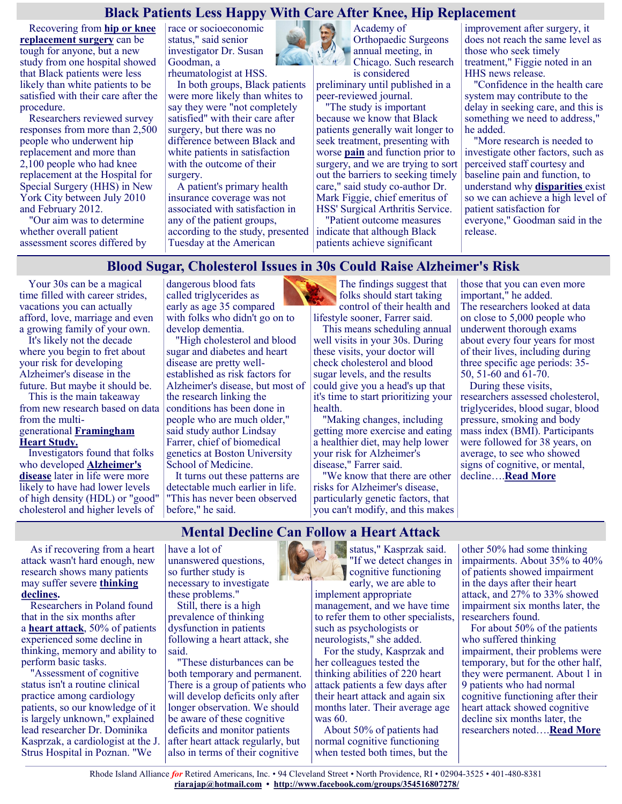#### **Black Patients Less Happy With Care After Knee, Hip Replacement**

Recovering from **[hip or knee](https://orthoinfo.aaos.org/en/treatment/total-joint-replacement/)  [replacement surgery](https://orthoinfo.aaos.org/en/treatment/total-joint-replacement/)** can be tough for anyone, but a new study from one hospital showed that Black patients were less likely than white patients to be satisfied with their care after the procedure.

Researchers reviewed survey responses from more than 2,500 people who underwent hip replacement and more than 2,100 people who had knee replacement at the Hospital for Special Surgery (HHS) in New York City between July 2010 and February 2012.

"Our aim was to determine whether overall patient assessment scores differed by race or socioeconomic status," said senior investigator Dr. Susan Goodman, a rheumatologist at HSS.

In both groups, Black patients were more likely than whites to say they were "not completely satisfied" with their care after surgery, but there was no difference between Black and white patients in satisfaction with the outcome of their surgery.

A patient's primary health insurance coverage was not associated with satisfaction in any of the patient groups, according to the study, presented Tuesday at the American



Academy of Orthopaedic Surgeons annual meeting, in Chicago. Such research is considered

preliminary until published in a peer-reviewed journal.

"The study is important because we know that Black patients generally wait longer to seek treatment, presenting with worse **[pain](https://my.clevelandclinic.org/health/symptoms/17752-joint-pain)** and function prior to surgery, and we are trying to sort out the barriers to seeking timely care," said study co-author Dr. Mark Figgie, chief emeritus of HSS' Surgical Arthritis Service.

"Patient outcome measures indicate that although Black patients achieve significant

improvement after surgery, it does not reach the same level as those who seek timely treatment," Figgie noted in an HHS news release.

"Confidence in the health care system may contribute to the delay in seeking care, and this is something we need to address," he added.

"More research is needed to investigate other factors, such as perceived staff courtesy and baseline pain and function, to understand why **[disparities](https://hipknee.aahks.org/racial-and-ethnic-disparities-in-hip-and-knee-arthroplasty/)** exist so we can achieve a high level of patient satisfaction for everyone," Goodman said in the release.

#### **Blood Sugar, Cholesterol Issues in 30s Could Raise Alzheimer's Risk**

Your 30s can be a magical time filled with career strides, vacations you can actually afford, love, marriage and even a growing family of your own.

It's likely not the decade where you begin to fret about your risk for developing Alzheimer's disease in the future. But maybe it should be.

This is the main takeaway from new research based on data from the multigenerational **[Framingham](https://www.nhlbi.nih.gov/science/framingham-heart-study-fhs)  [Heart Study.](https://www.nhlbi.nih.gov/science/framingham-heart-study-fhs)**

Investigators found that folks who developed **[Alzheimer's](https://www.alz.org/alzheimers-dementia/what-is-alzheimers)  [disease](https://www.alz.org/alzheimers-dementia/what-is-alzheimers)** later in life were more likely to have had lower levels of high density (HDL) or "good" cholesterol and higher levels of

dangerous blood fats called triglycerides as early as age 35 compared with folks who didn't go on to develop dementia.

"High cholesterol and blood sugar and diabetes and heart disease are pretty wellestablished as risk factors for Alzheimer's disease, but most of the research linking the conditions has been done in people who are much older," said study author Lindsay Farrer, chief of biomedical genetics at Boston University School of Medicine.

It turns out these patterns are detectable much earlier in life. "This has never been observed before," he said.

The findings suggest that folks should start taking control of their health and lifestyle sooner, Farrer said.

This means scheduling annual well visits in your 30s. During these visits, your doctor will check cholesterol and blood sugar levels, and the results could give you a head's up that it's time to start prioritizing your health.

"Making changes, including getting more exercise and eating a healthier diet, may help lower your risk for Alzheimer's disease," Farrer said.

"We know that there are other risks for Alzheimer's disease, particularly genetic factors, that you can't modify, and this makes

those that you can even more important," he added. The researchers looked at data on close to 5,000 people who underwent thorough exams about every four years for most of their lives, including during three specific age periods: 35- 50, 51-60 and 61-70.

During these visits, researchers assessed cholesterol, triglycerides, blood sugar, blood pressure, smoking and body mass index (BMI). Participants were followed for 38 years, on average, to see who showed signs of cognitive, or mental, decline….**[Read More](https://consumer.healthday.com/3-23-blood-sugar-cholesterol-issues-in-30s-could-raise-alzheimer-s-risk-2657001871.html)**

# **Mental Decline Can Follow a Heart Attack**

As if recovering from a heart attack wasn't hard enough, new research shows many patients may suffer severe **[thinking](https://my.clevelandclinic.org/health/diseases/17990-mild-cognitive-impairment)  [declines.](https://my.clevelandclinic.org/health/diseases/17990-mild-cognitive-impairment)**

Researchers in Poland found that in the six months after a **[heart attack](https://www.cdc.gov/heartdisease/heart_attack.htm#:~:text=A%20heart%20attack%2C%20also%20called,main%20cause%20of%20heart%20attack.)**, 50% of patients experienced some decline in thinking, memory and ability to perform basic tasks.

"Assessment of cognitive status isn't a routine clinical practice among cardiology patients, so our knowledge of it is largely unknown," explained lead researcher Dr. Dominika Kasprzak, a cardiologist at the J. Strus Hospital in Poznan. "We

have a lot of unanswered questions, so further study is necessary to investigate these problems."

Still, there is a high prevalence of thinking dysfunction in patients following a heart attack, she said.

"These disturbances can be both temporary and permanent. There is a group of patients who will develop deficits only after longer observation. We should be aware of these cognitive deficits and monitor patients after heart attack regularly, but also in terms of their cognitive



status," Kasprzak said. "If we detect changes in **Cognitive functioning** early, we are able to

implement appropriate management, and we have time to refer them to other specialists, such as psychologists or neurologists," she added.

For the study, Kasprzak and her colleagues tested the thinking abilities of 220 heart attack patients a few days after their heart attack and again six months later. Their average age was 60.

About 50% of patients had normal cognitive functioning when tested both times, but the other 50% had some thinking impairments. About 35% to 40% of patients showed impairment in the days after their heart attack, and 27% to 33% showed impairment six months later, the researchers found.

For about 50% of the patients who suffered thinking impairment, their problems were temporary, but for the other half, they were permanent. About 1 in 9 patients who had normal cognitive functioning after their heart attack showed cognitive decline six months later, the researchers noted….**[Read More](https://consumer.healthday.com/3-25-mental-decline-can-follow-a-heart-attack-2657015690.html)**